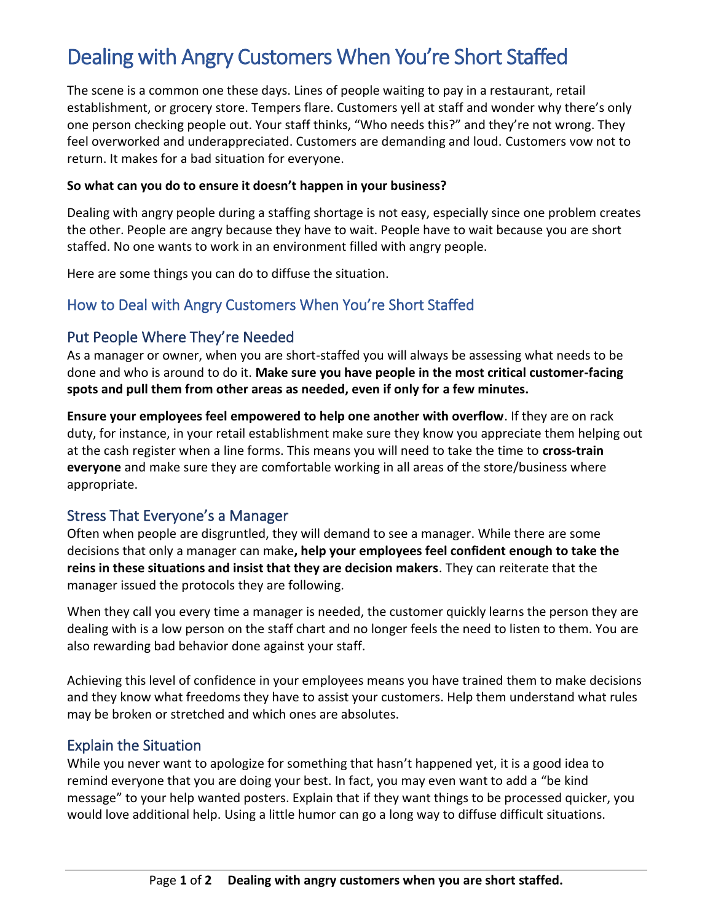# Dealing with Angry Customers When You're Short Staffed

The scene is a common one these days. Lines of people waiting to pay in a restaurant, retail establishment, or grocery store. Tempers flare. Customers yell at staff and wonder why there's only one person checking people out. Your staff thinks, "Who needs this?" and they're not wrong. They feel overworked and underappreciated. Customers are demanding and loud. Customers vow not to return. It makes for a bad situation for everyone.

#### **So what can you do to ensure it doesn't happen in your business?**

Dealing with angry people during a staffing shortage is not easy, especially since one problem creates the other. People are angry because they have to wait. People have to wait because you are short staffed. No one wants to work in an environment filled with angry people.

Here are some things you can do to diffuse the situation.

## How to Deal with Angry Customers When You're Short Staffed

## Put People Where They're Needed

As a manager or owner, when you are short-staffed you will always be assessing what needs to be done and who is around to do it. **Make sure you have people in the most critical customer-facing spots and pull them from other areas as needed, even if only for a few minutes.**

**Ensure your employees feel empowered to help one another with overflow**. If they are on rack duty, for instance, in your retail establishment make sure they know you appreciate them helping out at the cash register when a line forms. This means you will need to take the time to **cross-train everyone** and make sure they are comfortable working in all areas of the store/business where appropriate.

#### Stress That Everyone's a Manager

Often when people are disgruntled, they will demand to see a manager. While there are some decisions that only a manager can make**, help your employees feel confident enough to take the reins in these situations and insist that they are decision makers**. They can reiterate that the manager issued the protocols they are following.

When they call you every time a manager is needed, the customer quickly learns the person they are dealing with is a low person on the staff chart and no longer feels the need to listen to them. You are also rewarding bad behavior done against your staff.

Achieving this level of confidence in your employees means you have trained them to make decisions and they know what freedoms they have to assist your customers. Help them understand what rules may be broken or stretched and which ones are absolutes.

## Explain the Situation

While you never want to apologize for something that hasn't happened yet, it is a good idea to remind everyone that you are doing your best. In fact, you may even want to add a "be kind message" to your help wanted posters. Explain that if they want things to be processed quicker, you would love additional help. Using a little humor can go a long way to diffuse difficult situations.